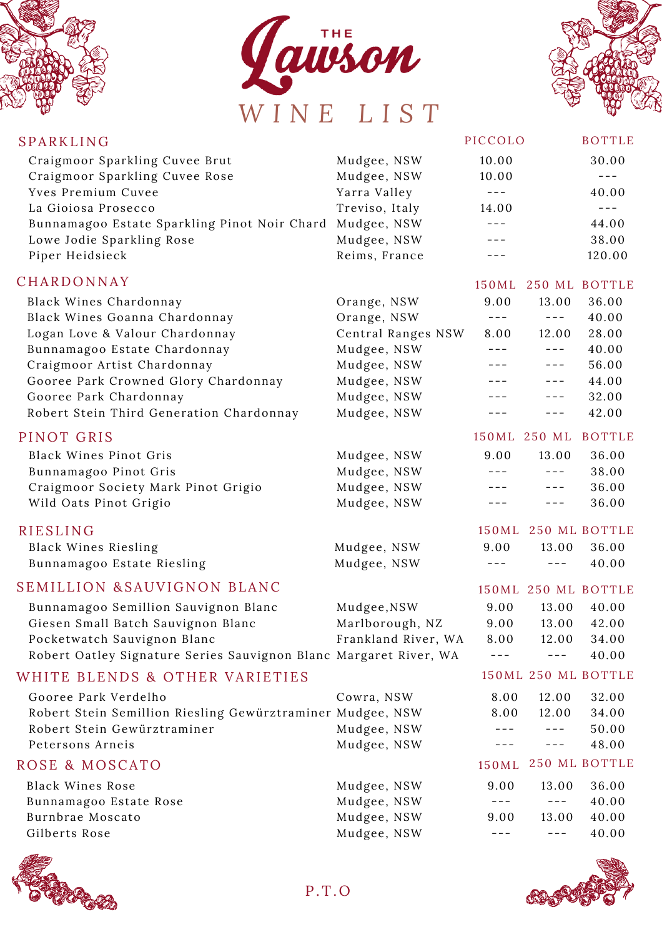





| SPARKLING                                                         |                     | PICCOLO |              | <b>BOTTLE</b>       |
|-------------------------------------------------------------------|---------------------|---------|--------------|---------------------|
| Craigmoor Sparkling Cuvee Brut                                    | Mudgee, NSW         | 10.00   |              | 30.00               |
| Craigmoor Sparkling Cuvee Rose                                    | Mudgee, NSW         | 10.00   |              | $---$               |
| Yves Premium Cuvee                                                | Yarra Valley        | $- - -$ |              | 40.00               |
| La Gioiosa Prosecco                                               | Treviso, Italy      | 14.00   |              | $---$               |
| Bunnamagoo Estate Sparkling Pinot Noir Chard                      | Mudgee, NSW         | $- - -$ |              | 44.00               |
| Lowe Jodie Sparkling Rose                                         | Mudgee, NSW         | $- - -$ |              | 38.00               |
| Piper Heidsieck                                                   | Reims, France       | $- - -$ |              | 120.00              |
| CHARDONNAY                                                        |                     | 150 ML  |              | 250 ML BOTTLE       |
| Black Wines Chardonnay                                            | Orange, NSW         | 9.00    | 13.00        | 36.00               |
| Black Wines Goanna Chardonnay                                     | Orange, NSW         | $- - -$ | $- - -$      | 40.00               |
| Logan Love & Valour Chardonnay                                    | Central Ranges NSW  | 8.00    | 12.00        | 28.00               |
| Bunnamagoo Estate Chardonnay                                      | Mudgee, NSW         | $-- -$  | $- - -$      | 40.00               |
| Craigmoor Artist Chardonnay                                       | Mudgee, NSW         | $---$   | $  -$        | 56.00               |
| Gooree Park Crowned Glory Chardonnay                              | Mudgee, NSW         | ---     | $  -$        | 44.00               |
| Gooree Park Chardonnay                                            | Mudgee, NSW         | ---     | $---$        | 32.00               |
| Robert Stein Third Generation Chardonnay                          | Mudgee, NSW         | $---$   | $  -$        | 42.00               |
| PINOT GRIS                                                        |                     |         | 150ML 250 ML | <b>BOTTLE</b>       |
| <b>Black Wines Pinot Gris</b>                                     | Mudgee, NSW         | 9.00    | 13.00        | 36.00               |
| Bunnamagoo Pinot Gris                                             | Mudgee, NSW         | $---$   | $  -$        | 38.00               |
| Craigmoor Society Mark Pinot Grigio                               | Mudgee, NSW         | ---     | $---$        | 36.00               |
| Wild Oats Pinot Grigio                                            | Mudgee, NSW         | $- - -$ | $- - -$      | 36.00               |
| <b>RIESLING</b>                                                   |                     | 150ML   |              | 250 ML BOTTLE       |
| Black Wines Riesling                                              | Mudgee, NSW         | 9.00    | 13.00        | 36.00               |
| Bunnamagoo Estate Riesling                                        | Mudgee, NSW         |         | $---$        | 40.00               |
| SEMILLION & SAUVIGNON BLANC                                       |                     |         |              | 150ML 250 ML BOTTLE |
| Bunnamagoo Semillion Sauvignon Blanc                              | Mudgee, NSW         | 9.00    | 13.00        | 40.00               |
| Giesen Small Batch Sauvignon Blanc                                | Marlborough, NZ     | 9.00    | 13.00        | 42.00               |
| Pocketwatch Sauvignon Blanc                                       | Frankland River, WA | 8.00    | 12.00        | 34.00               |
| Robert Oatley Signature Series Sauvignon Blanc Margaret River, WA |                     |         |              | 40.00               |
| WHITE BLENDS & OTHER VARIETIES                                    |                     |         |              | 150ML 250 ML BOTTLE |
| Gooree Park Verdelho                                              | Cowra, NSW          | 8.00    | 12.00        | 32.00               |
| Robert Stein Semillion Riesling Gewürztraminer Mudgee, NSW        |                     | 8.00    | 12.00        | 34.00               |
| Robert Stein Gewürztraminer                                       | Mudgee, NSW         | $---$   | $- - -$      | 50.00               |
| Petersons Arneis                                                  | Mudgee, NSW         | $- - -$ | $---$        | 48.00               |
| ROSE & MOSCATO                                                    |                     | 150ML   |              | 250 ML BOTTLE       |
| <b>Black Wines Rose</b>                                           | Mudgee, NSW         | 9.00    | 13.00        | 36.00               |
| Bunnamagoo Estate Rose                                            | Mudgee, NSW         | $---$   | $---$        | 40.00               |
| Burnbrae Moscato                                                  | Mudgee, NSW         | 9.00    | 13.00        | 40.00               |
| Gilberts Rose                                                     | Mudgee, NSW         | $-- -$  | $---$        | 40.00               |
|                                                                   |                     |         |              |                     |